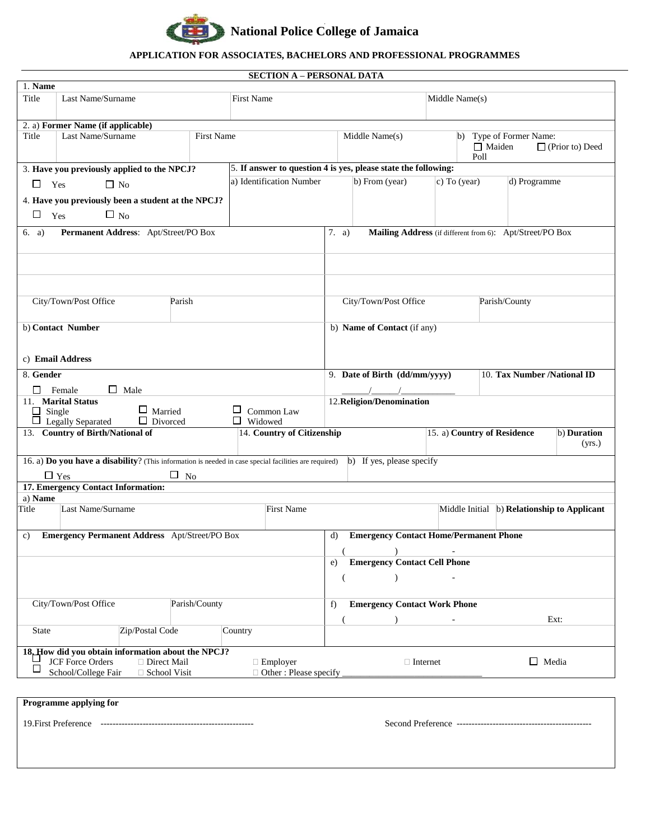

## **APPLICATION FOR ASSOCIATES, BACHELORS AND PROFESSIONAL PROGRAMMES**

## **SECTION A – PERSONAL DATA**

| 1. Name                                |                                                                                                                                                            |                                     |                                                                |                                                                   |                                                                            |              |                                                      |  |  |  |
|----------------------------------------|------------------------------------------------------------------------------------------------------------------------------------------------------------|-------------------------------------|----------------------------------------------------------------|-------------------------------------------------------------------|----------------------------------------------------------------------------|--------------|------------------------------------------------------|--|--|--|
| Title                                  | Last Name/Surname                                                                                                                                          |                                     | <b>First Name</b>                                              |                                                                   | Middle Name(s)                                                             |              |                                                      |  |  |  |
|                                        | 2. a) Former Name (if applicable)                                                                                                                          |                                     |                                                                |                                                                   |                                                                            |              |                                                      |  |  |  |
| Title                                  | Last Name/Surname                                                                                                                                          | <b>First Name</b><br>Middle Name(s) |                                                                |                                                                   | b) Type of Former Name:<br>$\Box$ Maiden<br>$\Box$ (Prior to) Deed<br>Poll |              |                                                      |  |  |  |
|                                        | 3. Have you previously applied to the NPCJ?                                                                                                                |                                     | 5. If answer to question 4 is yes, please state the following: |                                                                   |                                                                            |              |                                                      |  |  |  |
| $\Box$ Yes                             | $\Box$ No                                                                                                                                                  |                                     | a) Identification Number                                       |                                                                   | b) From (year)                                                             | c) To (year) | d) Programme                                         |  |  |  |
| □                                      | 4. Have you previously been a student at the NPCJ?<br>$\Box$ No<br>Yes                                                                                     |                                     |                                                                |                                                                   |                                                                            |              |                                                      |  |  |  |
| 6. a)                                  | Permanent Address: Apt/Street/PO Box                                                                                                                       |                                     |                                                                | Mailing Address (if different from 6): Apt/Street/PO Box<br>7. a) |                                                                            |              |                                                      |  |  |  |
|                                        |                                                                                                                                                            |                                     |                                                                |                                                                   |                                                                            |              |                                                      |  |  |  |
|                                        |                                                                                                                                                            |                                     |                                                                |                                                                   |                                                                            |              |                                                      |  |  |  |
|                                        | City/Town/Post Office                                                                                                                                      | Parish                              |                                                                |                                                                   | City/Town/Post Office                                                      |              | Parish/County                                        |  |  |  |
|                                        | b) Contact Number                                                                                                                                          |                                     |                                                                |                                                                   | b) Name of Contact (if any)                                                |              |                                                      |  |  |  |
|                                        | c) Email Address                                                                                                                                           |                                     |                                                                |                                                                   |                                                                            |              |                                                      |  |  |  |
| 8. Gender                              |                                                                                                                                                            |                                     |                                                                |                                                                   | 9. Date of Birth (dd/mm/yyyy)<br>10. Tax Number /National ID               |              |                                                      |  |  |  |
| П                                      | $\Box$ Male<br>Female                                                                                                                                      |                                     |                                                                | 12. Religion/Denomination                                         |                                                                            |              |                                                      |  |  |  |
| $\Box$                                 | 11. Marital Status<br>$\Box$ Married<br>Single<br>$\Box$ Legally Separated<br>$\Box$ Divorced                                                              |                                     | $\Box$ Common Law<br>$\Box$ Widowed                            |                                                                   |                                                                            |              |                                                      |  |  |  |
|                                        | 13. Country of Birth/National of                                                                                                                           |                                     | 14. Country of Citizenship                                     |                                                                   |                                                                            |              | 15. a) Country of Residence<br>b) Duration<br>(yrs.) |  |  |  |
|                                        | 16. a) Do you have a disability? (This information is needed in case special facilities are required) b) If yes, please specify<br>$\Box$ No<br>$\Box$ Yes |                                     |                                                                |                                                                   |                                                                            |              |                                                      |  |  |  |
| 17. Emergency Contact Information:     |                                                                                                                                                            |                                     |                                                                |                                                                   |                                                                            |              |                                                      |  |  |  |
| a) Name                                |                                                                                                                                                            |                                     |                                                                |                                                                   |                                                                            |              |                                                      |  |  |  |
| Title                                  | Last Name/Surname                                                                                                                                          |                                     | <b>First Name</b>                                              | Middle Initial (b) Relationship to Applicant                      |                                                                            |              |                                                      |  |  |  |
| c)                                     | Emergency Permanent Address Apt/Street/PO Box                                                                                                              |                                     |                                                                | <b>Emergency Contact Home/Permanent Phone</b><br>d)               |                                                                            |              |                                                      |  |  |  |
|                                        |                                                                                                                                                            |                                     |                                                                |                                                                   | <b>Emergency Contact Cell Phone</b><br>e)                                  |              |                                                      |  |  |  |
|                                        |                                                                                                                                                            |                                     |                                                                |                                                                   |                                                                            |              |                                                      |  |  |  |
| City/Town/Post Office<br>Parish/County |                                                                                                                                                            |                                     |                                                                |                                                                   | <b>Emergency Contact Work Phone</b><br>f)                                  |              |                                                      |  |  |  |
| State                                  | Zip/Postal Code                                                                                                                                            | Country                             |                                                                |                                                                   | Ext:                                                                       |              |                                                      |  |  |  |
|                                        | 18. How did you obtain information about the NPCJ?                                                                                                         |                                     |                                                                |                                                                   |                                                                            |              |                                                      |  |  |  |
|                                        | <b>JCF</b> Force Orders<br>□ Direct Mail<br>School/College Fair<br>□ School Visit                                                                          |                                     | $\Box$ Employer<br>□ Other: Please specify                     |                                                                   | $\Box$ Internet                                                            |              | $\Box$ Media                                         |  |  |  |
|                                        |                                                                                                                                                            |                                     |                                                                |                                                                   |                                                                            |              |                                                      |  |  |  |
| Programme applying for                 |                                                                                                                                                            |                                     |                                                                |                                                                   |                                                                            |              |                                                      |  |  |  |

19.First Preference --------------------------------------------------- Second Preference ---------------------------------------------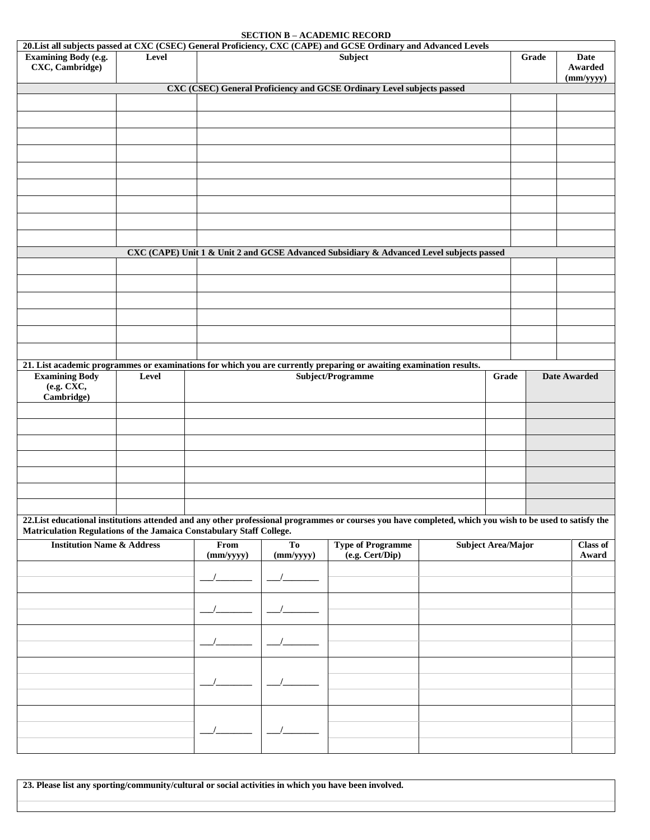## **SECTION B – ACADEMIC RECORD**

| 20. List all subjects passed at CXC (CSEC) General Proficiency, CXC (CAPE) and GCSE Ordinary and Advanced Levels                                         |       |                          |                             |                                                                                          |  |                           |       |                              |  |  |
|----------------------------------------------------------------------------------------------------------------------------------------------------------|-------|--------------------------|-----------------------------|------------------------------------------------------------------------------------------|--|---------------------------|-------|------------------------------|--|--|
| <b>Examining Body (e.g.</b><br>CXC, Cambridge)                                                                                                           | Level |                          |                             | <b>Subject</b>                                                                           |  |                           | Grade | Date<br>Awarded<br>(mm/yyyy) |  |  |
| CXC (CSEC) General Proficiency and GCSE Ordinary Level subjects passed                                                                                   |       |                          |                             |                                                                                          |  |                           |       |                              |  |  |
|                                                                                                                                                          |       |                          |                             |                                                                                          |  |                           |       |                              |  |  |
|                                                                                                                                                          |       |                          |                             |                                                                                          |  |                           |       |                              |  |  |
|                                                                                                                                                          |       |                          |                             |                                                                                          |  |                           |       |                              |  |  |
|                                                                                                                                                          |       |                          |                             |                                                                                          |  |                           |       |                              |  |  |
|                                                                                                                                                          |       |                          |                             |                                                                                          |  |                           |       |                              |  |  |
|                                                                                                                                                          |       |                          |                             |                                                                                          |  |                           |       |                              |  |  |
|                                                                                                                                                          |       |                          |                             |                                                                                          |  |                           |       |                              |  |  |
|                                                                                                                                                          |       |                          |                             |                                                                                          |  |                           |       |                              |  |  |
|                                                                                                                                                          |       |                          |                             | CXC (CAPE) Unit 1 & Unit 2 and GCSE Advanced Subsidiary & Advanced Level subjects passed |  |                           |       |                              |  |  |
|                                                                                                                                                          |       |                          |                             |                                                                                          |  |                           |       |                              |  |  |
|                                                                                                                                                          |       |                          |                             |                                                                                          |  |                           |       |                              |  |  |
|                                                                                                                                                          |       |                          |                             |                                                                                          |  |                           |       |                              |  |  |
|                                                                                                                                                          |       |                          |                             |                                                                                          |  |                           |       |                              |  |  |
|                                                                                                                                                          |       |                          |                             |                                                                                          |  |                           |       |                              |  |  |
|                                                                                                                                                          |       |                          |                             |                                                                                          |  |                           |       |                              |  |  |
| 21. List academic programmes or examinations for which you are currently preparing or awaiting examination results.                                      |       |                          |                             |                                                                                          |  | Grade                     |       |                              |  |  |
| <b>Examining Body</b><br>(e.g. CXC,<br>Cambridge)                                                                                                        | Level |                          | Subject/Programme           |                                                                                          |  |                           |       | <b>Date Awarded</b>          |  |  |
|                                                                                                                                                          |       |                          |                             |                                                                                          |  |                           |       |                              |  |  |
|                                                                                                                                                          |       |                          |                             |                                                                                          |  |                           |       |                              |  |  |
|                                                                                                                                                          |       |                          |                             |                                                                                          |  |                           |       |                              |  |  |
|                                                                                                                                                          |       |                          |                             |                                                                                          |  |                           |       |                              |  |  |
|                                                                                                                                                          |       |                          |                             |                                                                                          |  |                           |       |                              |  |  |
| 22. List educational institutions attended and any other professional programmes or courses you have completed, which you wish to be used to satisfy the |       |                          |                             |                                                                                          |  |                           |       |                              |  |  |
| Matriculation Regulations of the Jamaica Constabulary Staff College.<br><b>Institution Name &amp; Address</b>                                            |       | From<br>$\frac{m}{yyyy}$ | T <sub>0</sub><br>(mm/yyyy) | <b>Type of Programme</b><br>(e.g. Cert/Dip)                                              |  | <b>Subject Area/Major</b> |       | <b>Class of</b><br>Award     |  |  |
|                                                                                                                                                          |       |                          |                             |                                                                                          |  |                           |       |                              |  |  |
|                                                                                                                                                          |       |                          |                             |                                                                                          |  |                           |       |                              |  |  |
|                                                                                                                                                          |       |                          |                             |                                                                                          |  |                           |       |                              |  |  |
|                                                                                                                                                          |       |                          |                             |                                                                                          |  |                           |       |                              |  |  |
|                                                                                                                                                          |       |                          |                             |                                                                                          |  |                           |       |                              |  |  |
|                                                                                                                                                          |       |                          |                             |                                                                                          |  |                           |       |                              |  |  |
|                                                                                                                                                          |       |                          |                             |                                                                                          |  |                           |       |                              |  |  |
|                                                                                                                                                          |       |                          |                             |                                                                                          |  |                           |       |                              |  |  |
|                                                                                                                                                          |       |                          |                             |                                                                                          |  |                           |       |                              |  |  |
|                                                                                                                                                          |       |                          |                             |                                                                                          |  |                           |       |                              |  |  |
|                                                                                                                                                          |       |                          |                             |                                                                                          |  |                           |       |                              |  |  |

**23. Please list any sporting/community/cultural or social activities in which you have been involved.**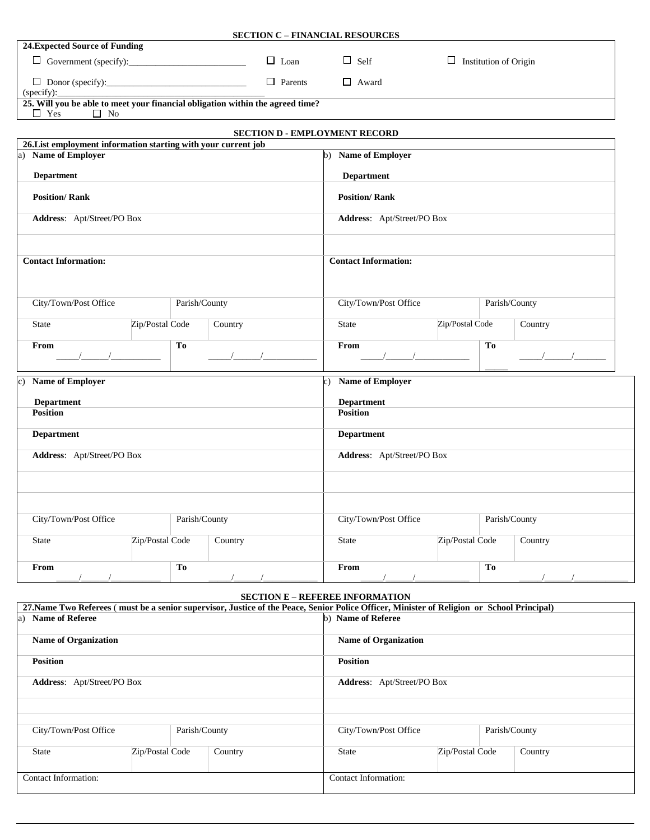| 24. Expected Source of Funding                                                                                                |                            |    |                                      |                                        |                                        |                            |    |                                                                                                                                                                                                                                                                                                                     |  |  |  |
|-------------------------------------------------------------------------------------------------------------------------------|----------------------------|----|--------------------------------------|----------------------------------------|----------------------------------------|----------------------------|----|---------------------------------------------------------------------------------------------------------------------------------------------------------------------------------------------------------------------------------------------------------------------------------------------------------------------|--|--|--|
| $\Box$ Loan                                                                                                                   |                            |    |                                      | $\Box$ Self                            | $\Box$ Institution of Origin           |                            |    |                                                                                                                                                                                                                                                                                                                     |  |  |  |
| $\Box$ Donor (specify):<br>$\Box$ Parents                                                                                     |                            |    |                                      |                                        | $\Box$ Award                           |                            |    |                                                                                                                                                                                                                                                                                                                     |  |  |  |
| (specify):                                                                                                                    |                            |    |                                      |                                        |                                        |                            |    |                                                                                                                                                                                                                                                                                                                     |  |  |  |
| 25. Will you be able to meet your financial obligation within the agreed time?<br>$\hfill\Box\;\; \mathbf {No}$<br>$\Box$ Yes |                            |    |                                      |                                        |                                        |                            |    |                                                                                                                                                                                                                                                                                                                     |  |  |  |
|                                                                                                                               |                            |    |                                      |                                        |                                        |                            |    |                                                                                                                                                                                                                                                                                                                     |  |  |  |
|                                                                                                                               |                            |    | <b>SECTION D - EMPLOYMENT RECORD</b> |                                        |                                        |                            |    |                                                                                                                                                                                                                                                                                                                     |  |  |  |
| 26. List employment information starting with your current job<br><b>Name of Employer</b><br>a)                               |                            |    |                                      |                                        | b) Name of Employer                    |                            |    |                                                                                                                                                                                                                                                                                                                     |  |  |  |
|                                                                                                                               |                            |    |                                      |                                        |                                        |                            |    |                                                                                                                                                                                                                                                                                                                     |  |  |  |
| <b>Department</b>                                                                                                             |                            |    |                                      |                                        | <b>Department</b>                      |                            |    |                                                                                                                                                                                                                                                                                                                     |  |  |  |
| <b>Position/Rank</b>                                                                                                          |                            |    | <b>Position/Rank</b>                 |                                        |                                        |                            |    |                                                                                                                                                                                                                                                                                                                     |  |  |  |
|                                                                                                                               | Address: Apt/Street/PO Box |    |                                      |                                        |                                        | Address: Apt/Street/PO Box |    |                                                                                                                                                                                                                                                                                                                     |  |  |  |
|                                                                                                                               |                            |    |                                      |                                        |                                        |                            |    |                                                                                                                                                                                                                                                                                                                     |  |  |  |
| <b>Contact Information:</b>                                                                                                   |                            |    |                                      | <b>Contact Information:</b>            |                                        |                            |    |                                                                                                                                                                                                                                                                                                                     |  |  |  |
| City/Town/Post Office<br>Parish/County                                                                                        |                            |    |                                      | City/Town/Post Office<br>Parish/County |                                        |                            |    |                                                                                                                                                                                                                                                                                                                     |  |  |  |
| <b>State</b>                                                                                                                  | Zip/Postal Code            |    | Country                              |                                        | State                                  | Zip/Postal Code            |    | Country                                                                                                                                                                                                                                                                                                             |  |  |  |
| From                                                                                                                          |                            | To |                                      |                                        | From                                   |                            | To | $\frac{1}{2}$ $\frac{1}{2}$ $\frac{1}{2}$ $\frac{1}{2}$ $\frac{1}{2}$ $\frac{1}{2}$ $\frac{1}{2}$ $\frac{1}{2}$ $\frac{1}{2}$ $\frac{1}{2}$ $\frac{1}{2}$ $\frac{1}{2}$ $\frac{1}{2}$ $\frac{1}{2}$ $\frac{1}{2}$ $\frac{1}{2}$ $\frac{1}{2}$ $\frac{1}{2}$ $\frac{1}{2}$ $\frac{1}{2}$ $\frac{1}{2}$ $\frac{1}{2}$ |  |  |  |
| <b>Name of Employer</b><br>$\mathbf{c}$ )                                                                                     |                            |    |                                      |                                        | c) Name of Employer                    |                            |    |                                                                                                                                                                                                                                                                                                                     |  |  |  |
| <b>Department</b>                                                                                                             |                            |    |                                      |                                        | <b>Department</b>                      |                            |    |                                                                                                                                                                                                                                                                                                                     |  |  |  |
| <b>Position</b>                                                                                                               |                            |    |                                      |                                        | <b>Position</b>                        |                            |    |                                                                                                                                                                                                                                                                                                                     |  |  |  |
| <b>Department</b>                                                                                                             |                            |    |                                      |                                        | <b>Department</b>                      |                            |    |                                                                                                                                                                                                                                                                                                                     |  |  |  |
| Address: Apt/Street/PO Box                                                                                                    |                            |    |                                      |                                        | Address: Apt/Street/PO Box             |                            |    |                                                                                                                                                                                                                                                                                                                     |  |  |  |
|                                                                                                                               |                            |    |                                      |                                        |                                        |                            |    |                                                                                                                                                                                                                                                                                                                     |  |  |  |
|                                                                                                                               |                            |    |                                      |                                        |                                        |                            |    |                                                                                                                                                                                                                                                                                                                     |  |  |  |
| City/Town/Post Office<br>Parish/County                                                                                        |                            |    |                                      |                                        | City/Town/Post Office<br>Parish/County |                            |    |                                                                                                                                                                                                                                                                                                                     |  |  |  |
| State                                                                                                                         | Zip/Postal Code            |    | Country                              |                                        | <b>State</b>                           | Zip/Postal Code            |    | Country                                                                                                                                                                                                                                                                                                             |  |  |  |
| From                                                                                                                          |                            | To |                                      |                                        | From                                   |                            | To |                                                                                                                                                                                                                                                                                                                     |  |  |  |

**SECTION C – FINANCIAL RESOURCES**

## **SECTION E – REFEREE INFORMATION**

| 27. Name Two Referees (must be a senior supervisor, Justice of the Peace, Senior Police Officer, Minister of Religion or School Principal) |                                        |                             |                      |                 |  |         |  |  |
|--------------------------------------------------------------------------------------------------------------------------------------------|----------------------------------------|-----------------------------|----------------------|-----------------|--|---------|--|--|
| a) Name of Referee                                                                                                                         |                                        | b) Name of Referee          |                      |                 |  |         |  |  |
| <b>Name of Organization</b>                                                                                                                |                                        | <b>Name of Organization</b> |                      |                 |  |         |  |  |
| <b>Position</b>                                                                                                                            |                                        | <b>Position</b>             |                      |                 |  |         |  |  |
| <b>Address:</b> Apt/Street/PO Box                                                                                                          | <b>Address:</b> Apt/Street/PO Box      |                             |                      |                 |  |         |  |  |
|                                                                                                                                            |                                        |                             |                      |                 |  |         |  |  |
| City/Town/Post Office                                                                                                                      | City/Town/Post Office<br>Parish/County |                             |                      |                 |  |         |  |  |
| Parish/County                                                                                                                              |                                        |                             |                      |                 |  |         |  |  |
| Zip/Postal Code<br><b>State</b>                                                                                                            |                                        | Country                     | <b>State</b>         | Zip/Postal Code |  | Country |  |  |
| Contact Information:                                                                                                                       |                                        |                             | Contact Information: |                 |  |         |  |  |